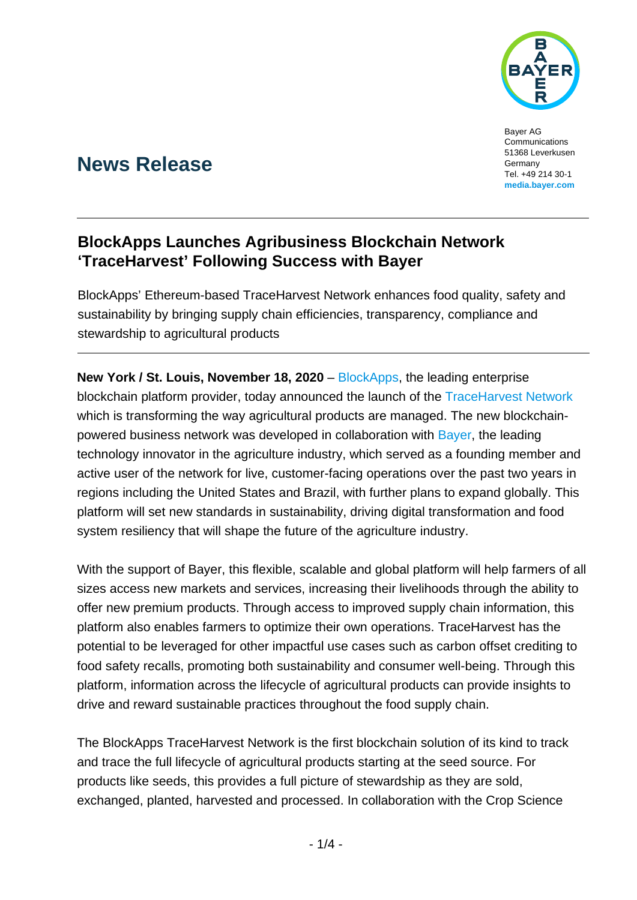

Bayer AG **Communications** 51368 Leverkusen Germany Tel. +49 214 30-1 **[media.bayer.com](http://media.bayer.de/)**

# **News Release**

## **BlockApps Launches Agribusiness Blockchain Network 'TraceHarvest' Following Success with Bayer**

BlockApps' Ethereum-based TraceHarvest Network enhances food quality, safety and sustainability by bringing supply chain efficiencies, transparency, compliance and stewardship to agricultural products

**New York / St. Louis, November 18, 2020** – [BlockApps,](https://blockapps.net/) the leading enterprise blockchain platform provider, today announced the launch of the [TraceHarvest Network](http://www.blockapps.net/) which is transforming the way agricultural products are managed. The new blockchainpowered business network was developed in collaboration with [Bayer,](https://www.cropscience.bayer.com/) the leading technology innovator in the agriculture industry, which served as a founding member and active user of the network for live, customer-facing operations over the past two years in regions including the United States and Brazil, with further plans to expand globally. This platform will set new standards in sustainability, driving digital transformation and food system resiliency that will shape the future of the agriculture industry.

With the support of Bayer, this flexible, scalable and global platform will help farmers of all sizes access new markets and services, increasing their livelihoods through the ability to offer new premium products. Through access to improved supply chain information, this platform also enables farmers to optimize their own operations. TraceHarvest has the potential to be leveraged for other impactful use cases such as carbon offset crediting to food safety recalls, promoting both sustainability and consumer well-being. Through this platform, information across the lifecycle of agricultural products can provide insights to drive and reward sustainable practices throughout the food supply chain.

The BlockApps TraceHarvest Network is the first blockchain solution of its kind to track and trace the full lifecycle of agricultural products starting at the seed source. For products like seeds, this provides a full picture of stewardship as they are sold, exchanged, planted, harvested and processed. In collaboration with the Crop Science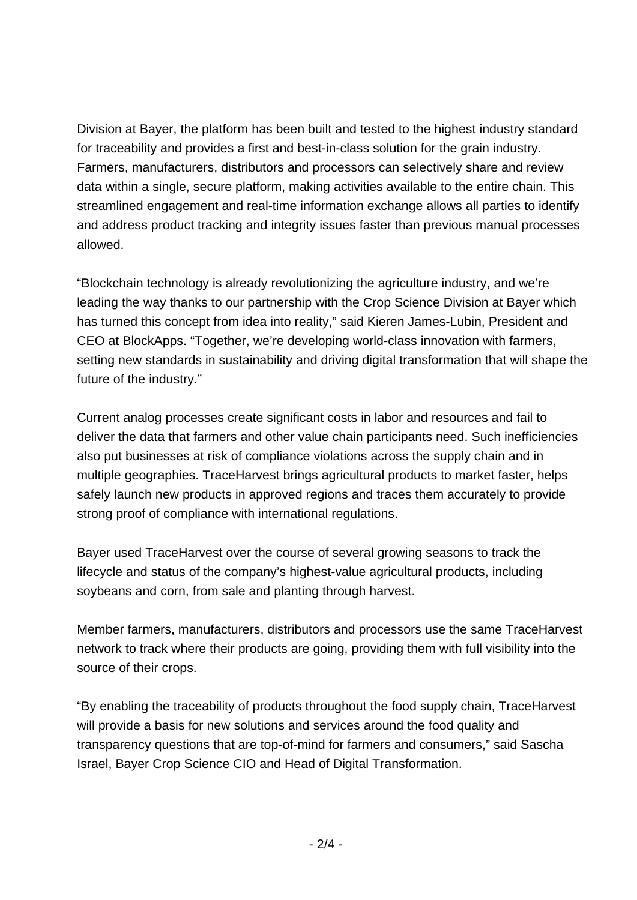Division at Bayer, the platform has been built and tested to the highest industry standard for traceability and provides a first and best-in-class solution for the grain industry. Farmers, manufacturers, distributors and processors can selectively share and review data within a single, secure platform, making activities available to the entire chain. This streamlined engagement and real-time information exchange allows all parties to identify and address product tracking and integrity issues faster than previous manual processes allowed.

"Blockchain technology is already revolutionizing the agriculture industry, and we're leading the way thanks to our partnership with the Crop Science Division at Bayer which has turned this concept from idea into reality," said Kieren James-Lubin, President and CEO at BlockApps. "Together, we're developing world-class innovation with farmers, setting new standards in sustainability and driving digital transformation that will shape the future of the industry."

Current analog processes create significant costs in labor and resources and fail to deliver the data that farmers and other value chain participants need. Such inefficiencies also put businesses at risk of compliance violations across the supply chain and in multiple geographies. TraceHarvest brings agricultural products to market faster, helps safely launch new products in approved regions and traces them accurately to provide strong proof of compliance with international regulations.

Bayer used TraceHarvest over the course of several growing seasons to track the lifecycle and status of the company's highest-value agricultural products, including soybeans and corn, from sale and planting through harvest.

Member farmers, manufacturers, distributors and processors use the same TraceHarvest network to track where their products are going, providing them with full visibility into the source of their crops.

"By enabling the traceability of products throughout the food supply chain, TraceHarvest will provide a basis for new solutions and services around the food quality and transparency questions that are top-of-mind for farmers and consumers," said Sascha Israel, Bayer Crop Science CIO and Head of Digital Transformation.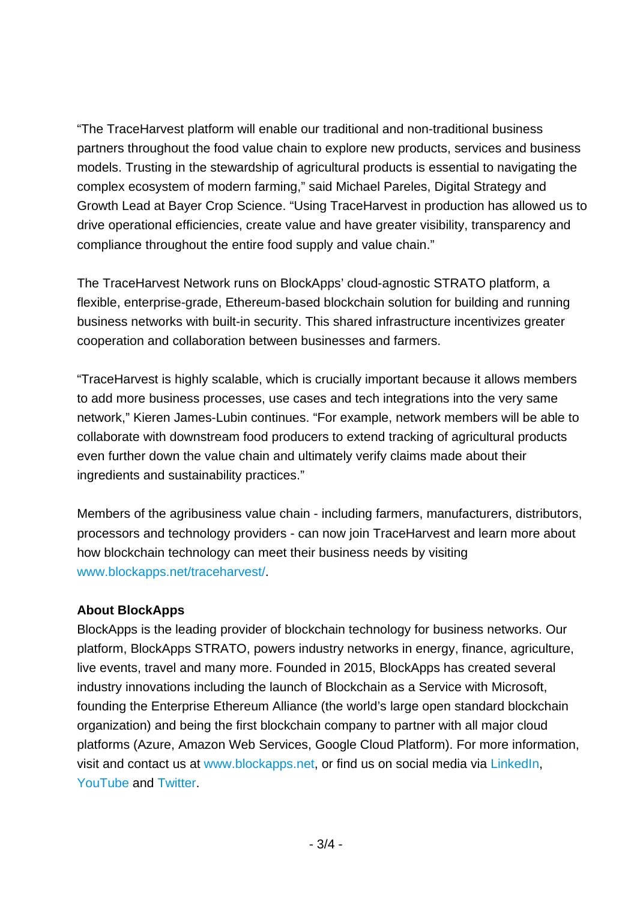"The TraceHarvest platform will enable our traditional and non-traditional business partners throughout the food value chain to explore new products, services and business models. Trusting in the stewardship of agricultural products is essential to navigating the complex ecosystem of modern farming," said Michael Pareles, Digital Strategy and Growth Lead at Bayer Crop Science. "Using TraceHarvest in production has allowed us to drive operational efficiencies, create value and have greater visibility, transparency and compliance throughout the entire food supply and value chain."

The TraceHarvest Network runs on BlockApps' cloud-agnostic STRATO platform, a flexible, enterprise-grade, Ethereum-based blockchain solution for building and running business networks with built-in security. This shared infrastructure incentivizes greater cooperation and collaboration between businesses and farmers.

"TraceHarvest is highly scalable, which is crucially important because it allows members to add more business processes, use cases and tech integrations into the very same network," Kieren James-Lubin continues. "For example, network members will be able to collaborate with downstream food producers to extend tracking of agricultural products even further down the value chain and ultimately verify claims made about their ingredients and sustainability practices."

Members of the agribusiness value chain - including farmers, manufacturers, distributors, processors and technology providers - can now join TraceHarvest and learn more about how blockchain technology can meet their business needs by visiting www.blockapps.net/traceharvest/.

### **About BlockApps**

BlockApps is the leading provider of blockchain technology for business networks. Our platform, BlockApps STRATO, powers industry networks in energy, finance, agriculture, live events, travel and many more. Founded in 2015, BlockApps has created several industry innovations including the launch of Blockchain as a Service with Microsoft, founding the Enterprise Ethereum Alliance (the world's large open standard blockchain organization) and being the first blockchain company to partner with all major cloud platforms (Azure, Amazon Web Services, Google Cloud Platform). For more information, visit and contact us at www.blockapps.net, or find us on social media via [LinkedIn,](https://www.linkedin.com/company/blockapps) [YouTube](https://www.youtube.com/channel/UC90KMyw1HFb39da02PjRFjw) and [Twitter.](https://twitter.com/blockapps?lang=en)